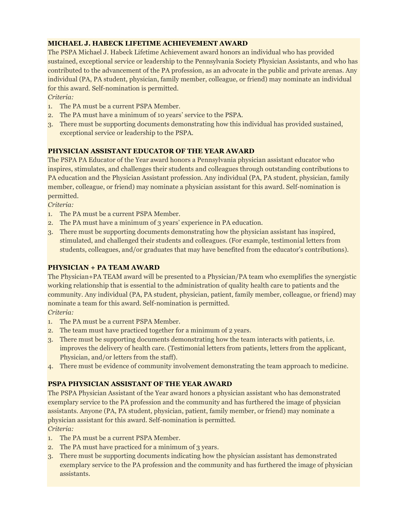# **MICHAEL J. HABECK LIFETIME ACHIEVEMENT AWARD**

The PSPA Michael J. Habeck Lifetime Achievement award honors an individual who has provided sustained, exceptional service or leadership to the Pennsylvania Society Physician Assistants, and who has contributed to the advancement of the PA profession, as an advocate in the public and private arenas. Any individual (PA, PA student, physician, family member, colleague, or friend) may nominate an individual for this award. Self-nomination is permitted.

#### *Criteria:*

- 1. The PA must be a current PSPA Member.
- 2. The PA must have a minimum of 10 years' service to the PSPA.
- 3. There must be supporting documents demonstrating how this individual has provided sustained, exceptional service or leadership to the PSPA.

## **PHYSICIAN ASSISTANT EDUCATOR OF THE YEAR AWARD**

The PSPA PA Educator of the Year award honors a Pennsylvania physician assistant educator who inspires, stimulates, and challenges their students and colleagues through outstanding contributions to PA education and the Physician Assistant profession. Any individual (PA, PA student, physician, family member, colleague, or friend) may nominate a physician assistant for this award. Self-nomination is permitted.

*Criteria:*

- 1. The PA must be a current PSPA Member.
- 2. The PA must have a minimum of 3 years' experience in PA education.
- 3. There must be supporting documents demonstrating how the physician assistant has inspired, stimulated, and challenged their students and colleagues. (For example, testimonial letters from students, colleagues, and/or graduates that may have benefited from the educator's contributions).

## **PHYSICIAN + PA TEAM AWARD**

The Physician+PA TEAM award will be presented to a Physician/PA team who exemplifies the synergistic working relationship that is essential to the administration of quality health care to patients and the community. Any individual (PA, PA student, physician, patient, family member, colleague, or friend) may nominate a team for this award. Self-nomination is permitted.

#### *Criteria:*

- 1. The PA must be a current PSPA Member.
- 2. The team must have practiced together for a minimum of 2 years.
- 3. There must be supporting documents demonstrating how the team interacts with patients, i.e. improves the delivery of health care. (Testimonial letters from patients, letters from the applicant, Physician, and/or letters from the staff).
- 4. There must be evidence of community involvement demonstrating the team approach to medicine.

## **PSPA PHYSICIAN ASSISTANT OF THE YEAR AWARD**

The PSPA Physician Assistant of the Year award honors a physician assistant who has demonstrated exemplary service to the PA profession and the community and has furthered the image of physician assistants. Anyone (PA, PA student, physician, patient, family member, or friend) may nominate a physician assistant for this award. Self-nomination is permitted.

# *Criteria:*

- 1. The PA must be a current PSPA Member.
- 2. The PA must have practiced for a minimum of 3 years.
- 3. There must be supporting documents indicating how the physician assistant has demonstrated exemplary service to the PA profession and the community and has furthered the image of physician assistants.